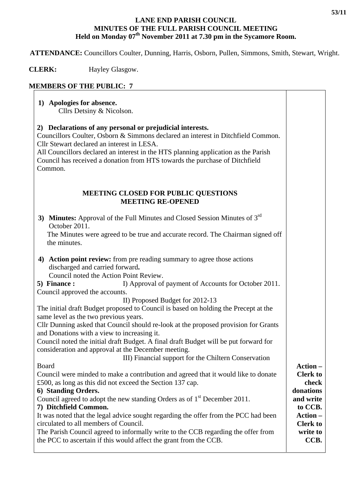## **LANE END PARISH COUNCIL MINUTES OF THE FULL PARISH COUNCIL MEETING**  Held on Monday 07<sup>th</sup> November 2011 at 7.30 pm in the Sycamore Room.

 **ATTENDANCE:** Councillors Coulter, Dunning, Harris, Osborn, Pullen, Simmons, Smith, Stewart, Wright.

 **CLERK:** Hayley Glasgow.

## **MEMBERS OF THE PUBLIC: 7**

| 1) Apologies for absence.<br>Cllrs Detsiny & Nicolson.                                                                                                                                                                                                                                                                                                                      |                 |
|-----------------------------------------------------------------------------------------------------------------------------------------------------------------------------------------------------------------------------------------------------------------------------------------------------------------------------------------------------------------------------|-----------------|
| 2) Declarations of any personal or prejudicial interests.<br>Councillors Coulter, Osborn & Simmons declared an interest in Ditchfield Common.<br>Cllr Stewart declared an interest in LESA.<br>All Councillors declared an interest in the HTS planning application as the Parish<br>Council has received a donation from HTS towards the purchase of Ditchfield<br>Common. |                 |
| <b>MEETING CLOSED FOR PUBLIC QUESTIONS</b><br><b>MEETING RE-OPENED</b>                                                                                                                                                                                                                                                                                                      |                 |
| 3) Minutes: Approval of the Full Minutes and Closed Session Minutes of $3rd$                                                                                                                                                                                                                                                                                                |                 |
| October 2011.<br>The Minutes were agreed to be true and accurate record. The Chairman signed off<br>the minutes.                                                                                                                                                                                                                                                            |                 |
| 4) Action point review: from pre reading summary to agree those actions<br>discharged and carried forward.<br>Council noted the Action Point Review.                                                                                                                                                                                                                        |                 |
| 5) Finance:                                                                                                                                                                                                                                                                                                                                                                 |                 |
| I) Approval of payment of Accounts for October 2011.                                                                                                                                                                                                                                                                                                                        |                 |
| Council approved the accounts.                                                                                                                                                                                                                                                                                                                                              |                 |
| II) Proposed Budget for 2012-13                                                                                                                                                                                                                                                                                                                                             |                 |
| The initial draft Budget proposed to Council is based on holding the Precept at the<br>same level as the two previous years.                                                                                                                                                                                                                                                |                 |
| Cllr Dunning asked that Council should re-look at the proposed provision for Grants                                                                                                                                                                                                                                                                                         |                 |
| and Donations with a view to increasing it.                                                                                                                                                                                                                                                                                                                                 |                 |
| Council noted the initial draft Budget. A final draft Budget will be put forward for                                                                                                                                                                                                                                                                                        |                 |
| consideration and approval at the December meeting.                                                                                                                                                                                                                                                                                                                         |                 |
| III) Financial support for the Chiltern Conservation                                                                                                                                                                                                                                                                                                                        |                 |
| Board                                                                                                                                                                                                                                                                                                                                                                       | Action -        |
| Council were minded to make a contribution and agreed that it would like to donate                                                                                                                                                                                                                                                                                          | <b>Clerk to</b> |
| £500, as long as this did not exceed the Section 137 cap.                                                                                                                                                                                                                                                                                                                   | check           |
| 6) Standing Orders.                                                                                                                                                                                                                                                                                                                                                         | donations       |
| Council agreed to adopt the new standing Orders as of 1 <sup>st</sup> December 2011.                                                                                                                                                                                                                                                                                        | and write       |
| 7) Ditchfield Common.                                                                                                                                                                                                                                                                                                                                                       | to CCB.         |
| It was noted that the legal advice sought regarding the offer from the PCC had been                                                                                                                                                                                                                                                                                         | Action-         |
| circulated to all members of Council.                                                                                                                                                                                                                                                                                                                                       | <b>Clerk to</b> |
| The Parish Council agreed to informally write to the CCB regarding the offer from                                                                                                                                                                                                                                                                                           | write to        |
| the PCC to ascertain if this would affect the grant from the CCB.                                                                                                                                                                                                                                                                                                           | CCB.            |

٦

 $\top$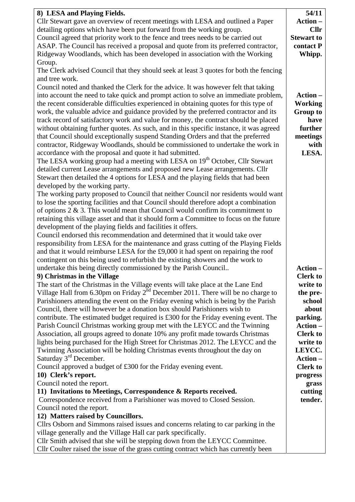| 8) LESA and Playing Fields.                                                              | 54/11              |
|------------------------------------------------------------------------------------------|--------------------|
| Cllr Stewart gave an overview of recent meetings with LESA and outlined a Paper          | Action-            |
| detailing options which have been put forward from the working group.                    | <b>Cllr</b>        |
| Council agreed that priority work to the fence and trees needs to be carried out         | <b>Stewart to</b>  |
| ASAP. The Council has received a proposal and quote from its preferred contractor,       | contact P          |
| Ridgeway Woodlands, which has been developed in association with the Working             | Whipp.             |
| Group.                                                                                   |                    |
| The Clerk advised Council that they should seek at least 3 quotes for both the fencing   |                    |
| and tree work.                                                                           |                    |
| Council noted and thanked the Clerk for the advice. It was however felt that taking      |                    |
| into account the need to take quick and prompt action to solve an immediate problem,     | Action-            |
| the recent considerable difficulties experienced in obtaining quotes for this type of    | <b>Working</b>     |
| work, the valuable advice and guidance provided by the preferred contractor and its      | <b>Group to</b>    |
| track record of satisfactory work and value for money, the contract should be placed     | have               |
| without obtaining further quotes. As such, and in this specific instance, it was agreed  | further            |
| that Council should exceptionally suspend Standing Orders and that the preferred         | meetings           |
| contractor, Ridgeway Woodlands, should be commissioned to undertake the work in          | with               |
| accordance with the proposal and quote it had submitted.                                 | LESA.              |
| The LESA working group had a meeting with LESA on 19 <sup>th</sup> October, Cllr Stewart |                    |
| detailed current Lease arrangements and proposed new Lease arrangements. Cllr            |                    |
| Stewart then detailed the 4 options for LESA and the playing fields that had been        |                    |
| developed by the working party.                                                          |                    |
| The working party proposed to Council that neither Council nor residents would want      |                    |
| to lose the sporting facilities and that Council should therefore adopt a combination    |                    |
| of options $2 \& 3$ . This would mean that Council would confirm its commitment to       |                    |
| retaining this village asset and that it should form a Committee to focus on the future  |                    |
| development of the playing fields and facilities it offers.                              |                    |
| Council endorsed this recommendation and determined that it would take over              |                    |
| responsibility from LESA for the maintenance and grass cutting of the Playing Fields     |                    |
| and that it would reimburse LESA for the £9,000 it had spent on repairing the roof       |                    |
| contingent on this being used to refurbish the existing showers and the work to          |                    |
| undertake this being directly commissioned by the Parish Council                         | Action-            |
| 9) Christmas in the Village                                                              | <b>Clerk to</b>    |
| The start of the Christmas in the Village events will take place at the Lane End         | write to           |
| Village Hall from 6.30pm on Friday $2nd$ December 2011. There will be no charge to       |                    |
|                                                                                          | the pre-<br>school |
| Parishioners attending the event on the Friday evening which is being by the Parish      |                    |
| Council, there will however be a donation box should Parishioners wish to                | about              |
| contribute. The estimated budget required is £300 for the Friday evening event. The      | parking.           |
| Parish Council Christmas working group met with the LEYCC and the Twinning               | Action-            |
| Association, all groups agreed to donate 10% any profit made towards Christmas           | <b>Clerk to</b>    |
| lights being purchased for the High Street for Christmas 2012. The LEYCC and the         | write to           |
| Twinning Association will be holding Christmas events throughout the day on              | LEYCC.             |
| Saturday 3 <sup>rd</sup> December.                                                       | Action-            |
| Council approved a budget of £300 for the Friday evening event.                          | <b>Clerk to</b>    |
| 10) Clerk's report.                                                                      | progress           |
| Council noted the report.                                                                | grass              |
| 11) Invitations to Meetings, Correspondence & Reports received.                          | cutting            |
| Correspondence received from a Parishioner was moved to Closed Session.                  | tender.            |
| Council noted the report.                                                                |                    |
| 12) Matters raised by Councillors.                                                       |                    |
| Cllrs Osborn and Simmons raised issues and concerns relating to car parking in the       |                    |
| village generally and the Village Hall car park specifically.                            |                    |
| Cllr Smith advised that she will be stepping down from the LEYCC Committee.              |                    |
| Cllr Coulter raised the issue of the grass cutting contract which has currently been     |                    |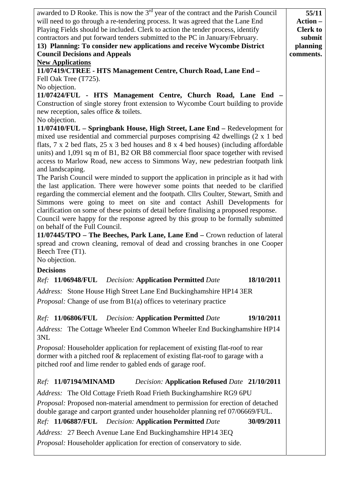| awarded to D Rooke. This is now the 3 <sup>rd</sup> year of the contract and the Parish Council                                                                    | 55/11           |
|--------------------------------------------------------------------------------------------------------------------------------------------------------------------|-----------------|
| will need to go through a re-tendering process. It was agreed that the Lane End                                                                                    | Action-         |
| Playing Fields should be included. Clerk to action the tender process, identify                                                                                    | <b>Clerk</b> to |
| contractors and put forward tenders submitted to the PC in January/February.                                                                                       | submit          |
| 13) Planning: To consider new applications and receive Wycombe District                                                                                            | planning        |
| <b>Council Decisions and Appeals</b>                                                                                                                               | comments.       |
| <b>New Applications</b>                                                                                                                                            |                 |
| 11/07419/CTREE - HTS Management Centre, Church Road, Lane End -                                                                                                    |                 |
| Fell Oak Tree (T725).                                                                                                                                              |                 |
| No objection.                                                                                                                                                      |                 |
| 11/07424/FUL - HTS Management Centre, Church Road, Lane End -                                                                                                      |                 |
| Construction of single storey front extension to Wycombe Court building to provide                                                                                 |                 |
| new reception, sales office & toilets.                                                                                                                             |                 |
| No objection.                                                                                                                                                      |                 |
| 11/07410/FUL - Springbank House, High Street, Lane End - Redevelopment for                                                                                         |                 |
| mixed use residential and commercial purposes comprising 42 dwellings (2 x 1 bed                                                                                   |                 |
| flats, 7 x 2 bed flats, 25 x 3 bed houses and 8 x 4 bed houses) (including affordable                                                                              |                 |
| units) and 1,091 sq m of B1, B2 OR B8 commercial floor space together with revised                                                                                 |                 |
| access to Marlow Road, new access to Simmons Way, new pedestrian footpath link                                                                                     |                 |
| and landscaping.                                                                                                                                                   |                 |
| The Parish Council were minded to support the application in principle as it had with                                                                              |                 |
| the last application. There were however some points that needed to be clarified                                                                                   |                 |
| regarding the commercial element and the footpath. Cllrs Coulter, Stewart, Smith and                                                                               |                 |
| Simmons were going to meet on site and contact Ashill Developments for<br>clarification on some of these points of detail before finalising a proposed response.   |                 |
| Council were happy for the response agreed by this group to be formally submitted                                                                                  |                 |
| on behalf of the Full Council.                                                                                                                                     |                 |
| 11/07445/TPO – The Beeches, Park Lane, Lane End – Crown reduction of lateral                                                                                       |                 |
| spread and crown cleaning, removal of dead and crossing branches in one Cooper                                                                                     |                 |
| Beech Tree (T1).                                                                                                                                                   |                 |
| No objection.                                                                                                                                                      |                 |
| <b>Decisions</b>                                                                                                                                                   |                 |
|                                                                                                                                                                    |                 |
| 18/10/2011<br>Ref: 11/06948/FUL Decision: Application Permitted Date                                                                                               |                 |
| Address: Stone House High Street Lane End Buckinghamshire HP14 3ER                                                                                                 |                 |
| Proposal: Change of use from B1(a) offices to veterinary practice                                                                                                  |                 |
|                                                                                                                                                                    |                 |
| <i>Ref:</i> 11/06806/FUL<br><b>Decision: Application Permitted Date</b><br>19/10/2011                                                                              |                 |
| Address: The Cottage Wheeler End Common Wheeler End Buckinghamshire HP14<br>3NL                                                                                    |                 |
| Proposal: Householder application for replacement of existing flat-roof to rear                                                                                    |                 |
| dormer with a pitched roof & replacement of existing flat-roof to garage with a                                                                                    |                 |
| pitched roof and lime render to gabled ends of garage roof.                                                                                                        |                 |
|                                                                                                                                                                    |                 |
| Ref: 11/07194/MINAMD<br><b>Decision: Application Refused Date 21/10/2011</b>                                                                                       |                 |
| Address: The Old Cottage Frieth Road Frieth Buckinghamshire RG9 6PU                                                                                                |                 |
| Proposal: Proposed non-material amendment to permission for erection of detached<br>double garage and carport granted under householder planning ref 07/06669/FUL. |                 |
| Ref: 11/06887/FUL Decision: Application Permitted Date<br>30/09/2011                                                                                               |                 |
|                                                                                                                                                                    |                 |
| Address: 27 Beech Avenue Lane End Buckinghamshire HP14 3EQ                                                                                                         |                 |
| Proposal: Householder application for erection of conservatory to side.                                                                                            |                 |